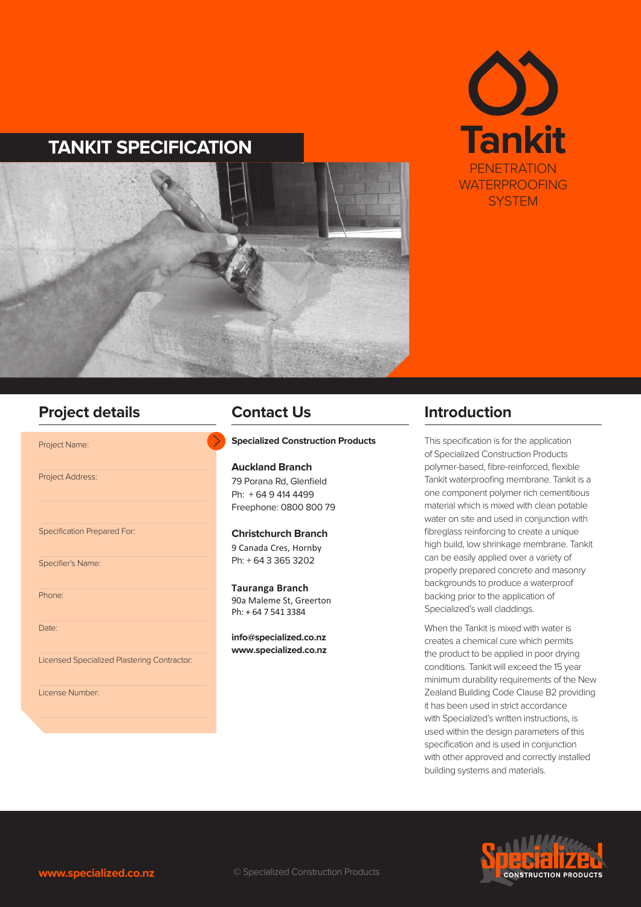

# **TANKIT SPECIFICATION**



# **Project details Contact Us Contact Of Introduction**

Project Name:

Project Address:

Specification Prepared For:

Specifier's Name:

Phone:

Date:

Licensed Specialized Plastering Contractor:

License Number:

## **Contact Us**

#### **Specialized Construction Products**

**Auckland Branch** 79 Porana Rd, Glenfield Ph: + 64 9 414 4499 Freephone: 0800 800 79

#### **Christchurch Branch**

9 Canada Cres, Hornby Ph: + 64 3 365 3202

**Tauranga Branch** 90a Maleme St, Greerton Ph: + 64 7 541 3384

**info@specialized.co.nz www.specialized.co.nz**

This specification is for the application of Specialized Construction Products polymer-based, fibre-reinforced, flexible Tankit waterproofing membrane. Tankit is a one component polymer rich cementitious material which is mixed with clean potable water on site and used in conjunction with fibreglass reinforcing to create a unique high build, low shrinkage membrane. Tankit can be easily applied over a variety of properly prepared concrete and masonry backgrounds to produce a waterproof backing prior to the application of Specialized's wall claddings.

When the Tankit is mixed with water is creates a chemical cure which permits the product to be applied in poor drying conditions. Tankit will exceed the 15 year minimum durability requirements of the New Zealand Building Code Clause B2 providing it has been used in strict accordance with Specialized's written instructions, is used within the design parameters of this specification and is used in conjunction with other approved and correctly installed building systems and materials.

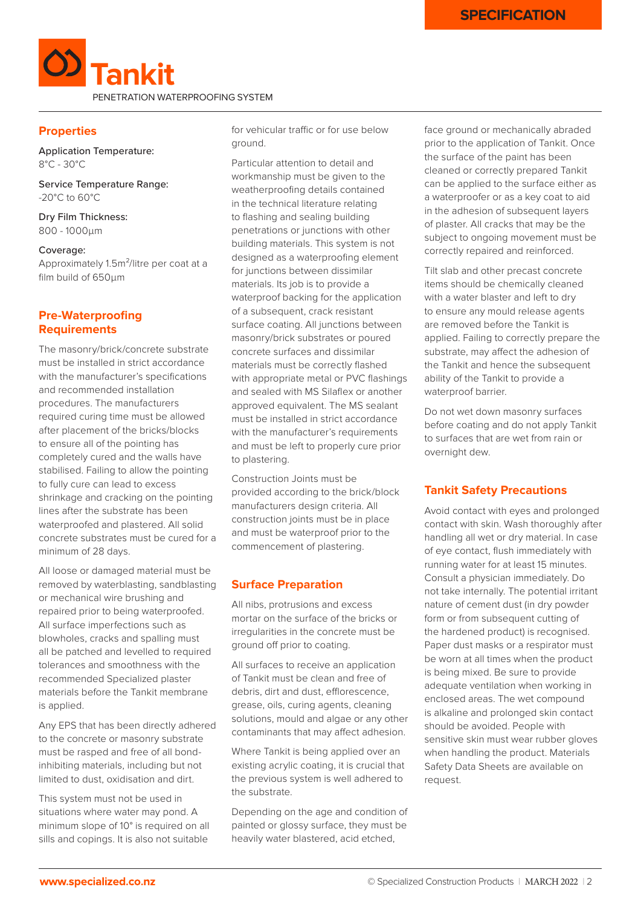

## **Properties**

Application Temperature: 8°C - 30°C

Service Temperature Range: -20°C to 60°C

Dry Film Thickness: 800 - 1000μm

#### Coverage:

Approximately 1.5m²/litre per coat at a film build of 650μm

## **Pre-Waterproofing Requirements**

The masonry/brick/concrete substrate must be installed in strict accordance with the manufacturer's specifications and recommended installation procedures. The manufacturers required curing time must be allowed after placement of the bricks/blocks to ensure all of the pointing has completely cured and the walls have stabilised. Failing to allow the pointing to fully cure can lead to excess shrinkage and cracking on the pointing lines after the substrate has been waterproofed and plastered. All solid concrete substrates must be cured for a minimum of 28 days.

All loose or damaged material must be removed by waterblasting, sandblasting or mechanical wire brushing and repaired prior to being waterproofed. All surface imperfections such as blowholes, cracks and spalling must all be patched and levelled to required tolerances and smoothness with the recommended Specialized plaster materials before the Tankit membrane is applied.

Any EPS that has been directly adhered to the concrete or masonry substrate must be rasped and free of all bondinhibiting materials, including but not limited to dust, oxidisation and dirt.

This system must not be used in situations where water may pond. A minimum slope of 10° is required on all sills and copings. It is also not suitable

for vehicular traffic or for use below ground.

Particular attention to detail and workmanship must be given to the weatherproofing details contained in the technical literature relating to flashing and sealing building penetrations or junctions with other building materials. This system is not designed as a waterproofing element for junctions between dissimilar materials. Its job is to provide a waterproof backing for the application of a subsequent, crack resistant surface coating. All junctions between masonry/brick substrates or poured concrete surfaces and dissimilar materials must be correctly flashed with appropriate metal or PVC flashings and sealed with MS Silaflex or another approved equivalent. The MS sealant must be installed in strict accordance with the manufacturer's requirements and must be left to properly cure prior to plastering.

Construction Joints must be provided according to the brick/block manufacturers design criteria. All construction joints must be in place and must be waterproof prior to the commencement of plastering.

## **Surface Preparation**

All nibs, protrusions and excess mortar on the surface of the bricks or irregularities in the concrete must be ground off prior to coating.

All surfaces to receive an application of Tankit must be clean and free of debris, dirt and dust, efflorescence, grease, oils, curing agents, cleaning solutions, mould and algae or any other contaminants that may affect adhesion.

Where Tankit is being applied over an existing acrylic coating, it is crucial that the previous system is well adhered to the substrate.

Depending on the age and condition of painted or glossy surface, they must be heavily water blastered, acid etched,

face ground or mechanically abraded prior to the application of Tankit. Once the surface of the paint has been cleaned or correctly prepared Tankit can be applied to the surface either as a waterproofer or as a key coat to aid in the adhesion of subsequent layers of plaster. All cracks that may be the subject to ongoing movement must be correctly repaired and reinforced.

Tilt slab and other precast concrete items should be chemically cleaned with a water blaster and left to dry to ensure any mould release agents are removed before the Tankit is applied. Failing to correctly prepare the substrate, may affect the adhesion of the Tankit and hence the subsequent ability of the Tankit to provide a waterproof barrier.

Do not wet down masonry surfaces before coating and do not apply Tankit to surfaces that are wet from rain or overnight dew.

# **Tankit Safety Precautions**

Avoid contact with eyes and prolonged contact with skin. Wash thoroughly after handling all wet or dry material. In case of eye contact, flush immediately with running water for at least 15 minutes. Consult a physician immediately. Do not take internally. The potential irritant nature of cement dust (in dry powder form or from subsequent cutting of the hardened product) is recognised. Paper dust masks or a respirator must be worn at all times when the product is being mixed. Be sure to provide adequate ventilation when working in enclosed areas. The wet compound is alkaline and prolonged skin contact should be avoided. People with sensitive skin must wear rubber gloves when handling the product. Materials Safety Data Sheets are available on request.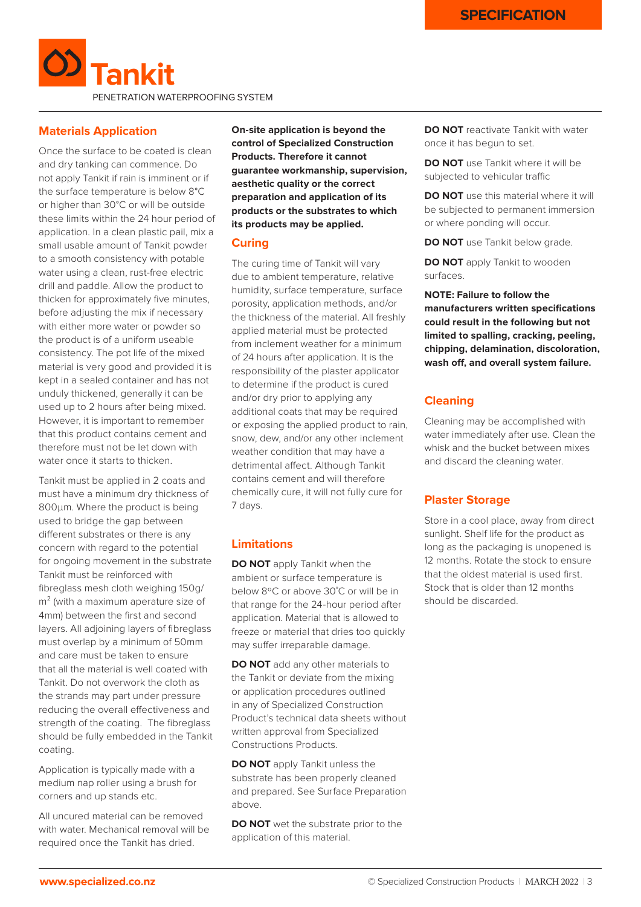

#### **Materials Application**

Once the surface to be coated is clean and dry tanking can commence. Do not apply Tankit if rain is imminent or if the surface temperature is below 8°C or higher than 30°C or will be outside these limits within the 24 hour period of application. In a clean plastic pail, mix a small usable amount of Tankit powder to a smooth consistency with potable water using a clean, rust-free electric drill and paddle. Allow the product to thicken for approximately five minutes, before adjusting the mix if necessary with either more water or powder so the product is of a uniform useable consistency. The pot life of the mixed material is very good and provided it is kept in a sealed container and has not unduly thickened, generally it can be used up to 2 hours after being mixed. However, it is important to remember that this product contains cement and therefore must not be let down with water once it starts to thicken.

Tankit must be applied in 2 coats and must have a minimum dry thickness of 800μm. Where the product is being used to bridge the gap between different substrates or there is any concern with regard to the potential for ongoing movement in the substrate Tankit must be reinforced with fibreglass mesh cloth weighing 150g/ m<sup>2</sup> (with a maximum aperature size of 4mm) between the first and second layers. All adjoining layers of fibreglass must overlap by a minimum of 50mm and care must be taken to ensure that all the material is well coated with Tankit. Do not overwork the cloth as the strands may part under pressure reducing the overall effectiveness and strength of the coating. The fibreglass should be fully embedded in the Tankit coating.

Application is typically made with a medium nap roller using a brush for corners and up stands etc.

All uncured material can be removed with water. Mechanical removal will be required once the Tankit has dried.

**On-site application is beyond the control of Specialized Construction Products. Therefore it cannot guarantee workmanship, supervision, aesthetic quality or the correct preparation and application of its products or the substrates to which its products may be applied.**

#### **Curing**

The curing time of Tankit will vary due to ambient temperature, relative humidity, surface temperature, surface porosity, application methods, and/or the thickness of the material. All freshly applied material must be protected from inclement weather for a minimum of 24 hours after application. It is the responsibility of the plaster applicator to determine if the product is cured and/or dry prior to applying any additional coats that may be required or exposing the applied product to rain, snow, dew, and/or any other inclement weather condition that may have a detrimental affect. Although Tankit contains cement and will therefore chemically cure, it will not fully cure for 7 days.

## **Limitations**

**DO NOT** apply Tankit when the ambient or surface temperature is below 8ºC or above 30˚C or will be in that range for the 24-hour period after application. Material that is allowed to freeze or material that dries too quickly may suffer irreparable damage.

**DO NOT** add any other materials to the Tankit or deviate from the mixing or application procedures outlined in any of Specialized Construction Product's technical data sheets without written approval from Specialized Constructions Products.

**DO NOT** apply Tankit unless the substrate has been properly cleaned and prepared. See Surface Preparation above.

**DO NOT** wet the substrate prior to the application of this material.

**DO NOT** reactivate Tankit with water once it has begun to set.

**DO NOT** use Tankit where it will be subjected to vehicular traffic

**DO NOT** use this material where it will be subjected to permanent immersion or where ponding will occur.

**DO NOT** use Tankit below grade.

**DO NOT** apply Tankit to wooden surfaces.

**NOTE: Failure to follow the manufacturers written specifications could result in the following but not limited to spalling, cracking, peeling, chipping, delamination, discoloration, wash off, and overall system failure.**

#### **Cleaning**

Cleaning may be accomplished with water immediately after use. Clean the whisk and the bucket between mixes and discard the cleaning water.

### **Plaster Storage**

Store in a cool place, away from direct sunlight. Shelf life for the product as long as the packaging is unopened is 12 months. Rotate the stock to ensure that the oldest material is used first. Stock that is older than 12 months should be discarded.